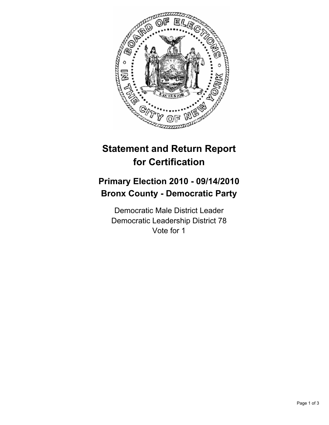

# **Statement and Return Report for Certification**

## **Primary Election 2010 - 09/14/2010 Bronx County - Democratic Party**

Democratic Male District Leader Democratic Leadership District 78 Vote for 1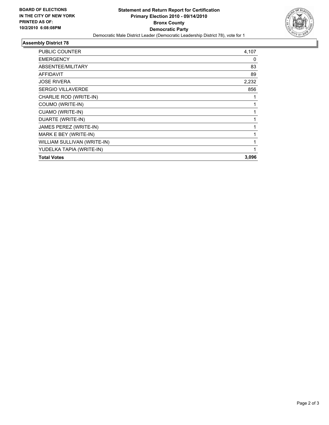

### **Assembly District 78**

| PUBLIC COUNTER              | 4,107 |
|-----------------------------|-------|
| <b>EMERGENCY</b>            | 0     |
| ABSENTEE/MILITARY           | 83    |
| <b>AFFIDAVIT</b>            | 89    |
| <b>JOSE RIVERA</b>          | 2,232 |
| <b>SERGIO VILLAVERDE</b>    | 856   |
| CHARLIE ROD (WRITE-IN)      | 1     |
| COUMO (WRITE-IN)            | 1     |
| CUAMO (WRITE-IN)            | 1     |
| DUARTE (WRITE-IN)           | 1     |
| JAMES PEREZ (WRITE-IN)      | 1     |
| MARK E BEY (WRITE-IN)       | 1     |
| WILLIAM SULLIVAN (WRITE-IN) | 1     |
| YUDELKA TAPIA (WRITE-IN)    | 1     |
| <b>Total Votes</b>          | 3,096 |